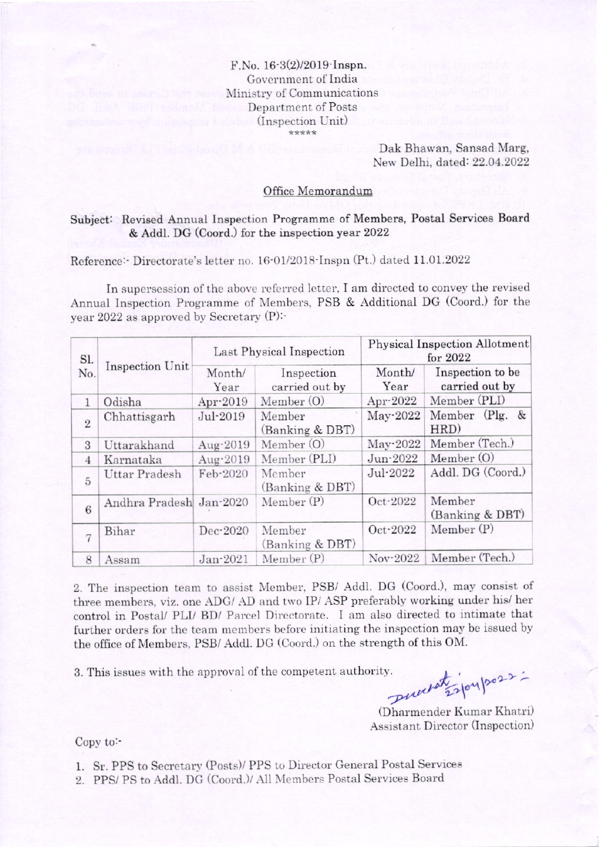## $F.No. 16-3(2)/2019$ -Inspn. Government of India  $\,$ Ministry of Communications Department of Posts (Inspection Unit)

Dak Bhawan, Sansad Marg, Nerv Delhi, dated: 22.04.2022

## Office Memorandum

## Subject: Revised Annual Inspection Programme of Members, Postal Services Board & Addl. DG (Coord.) for the inspection year 2022

Reference: Directorate's letter no. 16-01/2018 Inspn (Pt.) dated 11.01.2022

In supersession of the above referred letter, I am directed to convey the revised Annual Inspection Programme of Members, PSB & Additional DG (Coord.) for the year 2022 as approved by Secretary (P):'

| Sl.<br>No.     | Inspection Unit         | Last Physical Inspection |                              | <b>Physical Inspection Allotment</b><br>for $2022$ |                                    |
|----------------|-------------------------|--------------------------|------------------------------|----------------------------------------------------|------------------------------------|
|                |                         | Month/<br>Year           | Inspection<br>carried out by | Month/<br>Year                                     | Inspection to be<br>carried out by |
| $\mathbf{1}$   | Odisha                  | Apr-2019                 | Member $(O)$                 | Apr-2022                                           | Member (PLI)                       |
| $\overline{2}$ | Chhattisgarh            | Jul-2019                 | Member<br>(Banking & DBT)    | May-2022                                           | Member (Plg. &<br>HRD)             |
| 3              | Uttarakhand             | Aug-2019                 | Member $(O)$                 | $May-2022$                                         | Member (Tech.)                     |
| $\overline{4}$ | Karnataka               | Aug-2019                 | Member (PLI)                 | Jun-2022                                           | Member (O)                         |
| $\overline{5}$ | <b>Uttar Pradesh</b>    | Feb-2020                 | Member<br>(Banking & DBT)    | Jul-2022                                           | Addl. DG (Coord.)                  |
| 6              | Andhra Pradesh Jan-2020 |                          | Member (P)                   | Oct-2022                                           | Member<br>(Banking & DBT)          |
| $\overline{7}$ | Bihar                   | Dec-2020                 | Member<br>(Banking & DBT)    | Oct-2022                                           | Member(P)                          |
| 8              | Assam                   | Jan-2021                 | Member (P)                   | Nov-2022                                           | Member (Tech.)                     |

2. The inspection team to assist Member, PSB/ Addl. DG (Coord.), may consist of three members, viz. one ADG/ AD and two IP/ ASP preferably working under his/ her control in Postal/ PLI/ BD/ Parcel Directorate. I am also directed to intimate that further orders for the team members before initiating the inspection may be issued by the office of Members, PSB/ Addl. DG (Coord.) on the strength of this OM.

3. This issues with the approval of the competent authority.

 $u^{\mu\nu}$   $270$ ,

(Dharmender Kumar Khatri) Assistant Director (Inspection)

Copy to:-

1. Sr. PPS to Secretary (Posts)/ PPS to Director General Postal Services

2. PPS/PS to Addl. DG (Coord.)/ All Members Postal Services Board